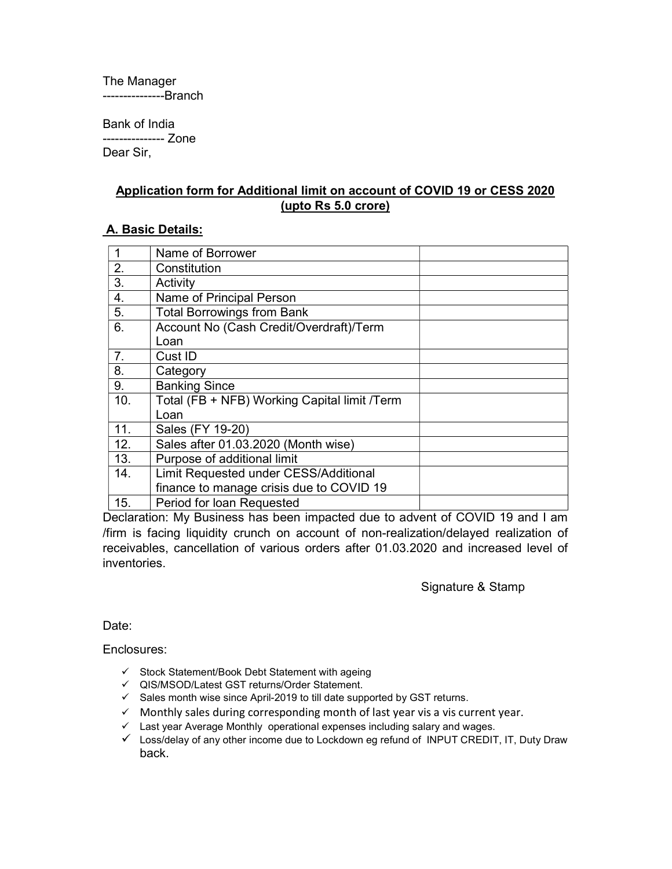The Manager ---------------Branch

Bank of India --------------- Zone Dear Sir,

## Application form for Additional limit on account of COVID 19 or CESS 2020 (upto Rs 5.0 crore)

## A. Basic Details:

| 1                | Name of Borrower                             |  |
|------------------|----------------------------------------------|--|
| 2.               | Constitution                                 |  |
| 3.               | Activity                                     |  |
| $\overline{4}$ . | Name of Principal Person                     |  |
| 5.               | <b>Total Borrowings from Bank</b>            |  |
| 6.               | Account No (Cash Credit/Overdraft)/Term      |  |
|                  | Loan                                         |  |
| 7.               | Cust ID                                      |  |
| 8.               | Category                                     |  |
| 9.               | <b>Banking Since</b>                         |  |
| 10.              | Total (FB + NFB) Working Capital limit /Term |  |
|                  | Loan                                         |  |
| 11.              | Sales (FY 19-20)                             |  |
| 12.              | Sales after 01.03.2020 (Month wise)          |  |
| 13.              | Purpose of additional limit                  |  |
| 14.              | Limit Requested under CESS/Additional        |  |
|                  | finance to manage crisis due to COVID 19     |  |
| 15.              | Period for loan Requested                    |  |

Declaration: My Business has been impacted due to advent of COVID 19 and I am /firm is facing liquidity crunch on account of non-realization/delayed realization of receivables, cancellation of various orders after 01.03.2020 and increased level of inventories.

Signature & Stamp

Date:

Enclosures:

- $\checkmark$  Stock Statement/Book Debt Statement with ageing
- QIS/MSOD/Latest GST returns/Order Statement.
- $\checkmark$  Sales month wise since April-2019 to till date supported by GST returns.
- $\checkmark$  Monthly sales during corresponding month of last year vis a vis current year.
- $\checkmark$  Last year Average Monthly operational expenses including salary and wages.
- $\checkmark$  Loss/delay of any other income due to Lockdown eg refund of INPUT CREDIT, IT, Duty Draw back.